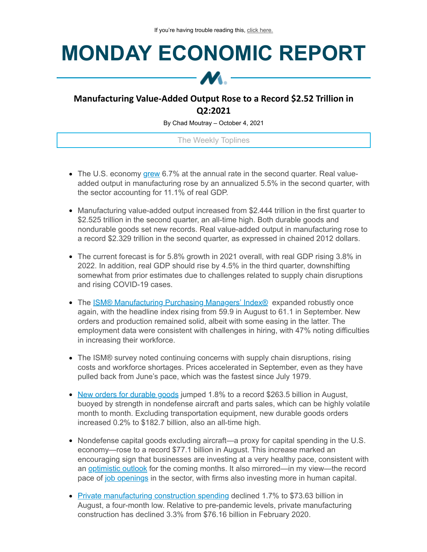# **MONDAY ECONOMIC REPORT**



# **Manufacturing Value-Added Output Rose to a Record \$2.52 Trillion in Q2:2021**

By Chad Moutray – October 4, 2021

The Weekly Toplines

- The U.S. economy [grew](https://click.email.nam.org/?qs=cc59b567c6a5c2198768089343c719d2c3c8b08c58ef320a673e596cfa049a3b09ea5c49991fbf2a46c7a752a29fe9fc60e2edb0b8c3f6dd) 6.7% at the annual rate in the second quarter. Real valueadded output in manufacturing rose by an annualized 5.5% in the second quarter, with the sector accounting for 11.1% of real GDP.
- Manufacturing value-added output increased from \$2.444 trillion in the first quarter to \$2.525 trillion in the second quarter, an all-time high. Both durable goods and nondurable goods set new records. Real value-added output in manufacturing rose to a record \$2.329 trillion in the second quarter, as expressed in chained 2012 dollars.
- The current forecast is for 5.8% growth in 2021 overall, with real GDP rising 3.8% in 2022. In addition, real GDP should rise by 4.5% in the third quarter, downshifting somewhat from prior estimates due to challenges related to supply chain disruptions and rising COVID-19 cases.
- The **ISM® [Manufacturing](https://click.email.nam.org/?qs=cc59b567c6a5c2194c0086e4edb6b6c6cb79ae992451970c35085f802100dfe1f39aa502bb44d10527e08391cfbd64b7dd1f7e758cdb7411) Purchasing Managers' Index®** expanded robustly once again, with the headline index rising from 59.9 in August to 61.1 in September. New orders and production remained solid, albeit with some easing in the latter. The employment data were consistent with challenges in hiring, with 47% noting difficulties in increasing their workforce.
- The ISM® survey noted continuing concerns with supply chain disruptions, rising costs and workforce shortages. Prices accelerated in September, even as they have pulled back from June's pace, which was the fastest since July 1979.
- New orders for [durable](https://click.email.nam.org/?qs=811714adb34a67dc5dfde62bb08cd7c0646ac7e68fb62e85d506a7b73d74c56ee3b30ddc405fe0d2e551fc304c374479543b21f5f2356298) goods jumped 1.8% to a record \$263.5 billion in August, buoyed by strength in nondefense aircraft and parts sales, which can be highly volatile month to month. Excluding transportation equipment, new durable goods orders increased 0.2% to \$182.7 billion, also an all-time high.
- Nondefense capital goods excluding aircraft—a proxy for capital spending in the U.S. economy—rose to a record \$77.1 billion in August. This increase marked an encouraging sign that businesses are investing at a very healthy pace, consistent with an [optimistic](https://click.email.nam.org/?qs=811714adb34a67dcd3bb2d68a5594b120e186864ef82408961a7608d163dc5cfeb1e1d71f9f807d7bd638e289b5b2a080d4bfa908648ad3f) outlook for the coming months. It also mirrored—in my view—the record pace of job [openings](https://click.email.nam.org/?qs=811714adb34a67dc9a322358355b26fa01e3360782afdd1b95046f49c1d48ed80c4c39ad9884279cd23932a9b0680977f6c5cb9c1ffe19aa) in the sector, with firms also investing more in human capital.
- Private [manufacturing](https://click.email.nam.org/?qs=811714adb34a67dcc48943f4bc4bd6ac4fa02ce285a713aff3ea0c72d77f71f293d6de97c48ddbee1017a1db875961f2e3ecb7a098b0e87a) construction spending declined 1.7% to \$73.63 billion in August, a four-month low. Relative to pre-pandemic levels, private manufacturing construction has declined 3.3% from \$76.16 billion in February 2020.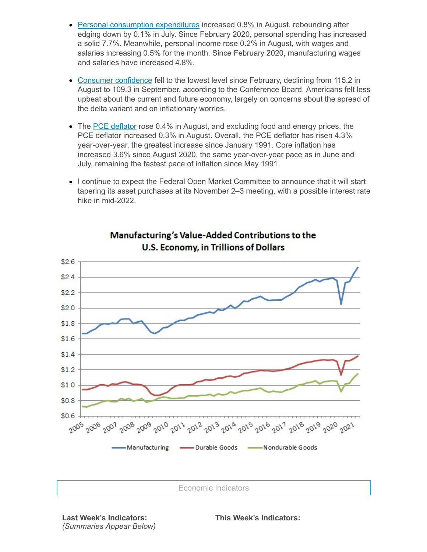- Personal consumption [expenditures](https://click.email.nam.org/?qs=811714adb34a67dc3a12098f7a2815f5c03ad06e7e0ec88a7f0b4a8ae117fa8ff3086bdfa2212d49fd33ade1a853da1a35a6f735f7b22ad6) increased 0.8% in August, rebounding after edging down by 0.1% in July. Since February 2020, personal spending has increased a solid 7.7%. Meanwhile, personal income rose 0.2% in August, with wages and salaries increasing 0.5% for the month. Since February 2020, manufacturing wages and salaries have increased 4.8%.
- Consumer [confidence](https://click.email.nam.org/?qs=39a84bb87e8c9ff28f7ada87d657ba5afa2cebd712b2bd44a74d7bce17cf874c10bf99b0b4ffdab75b1a964bff35c22f1104554328f49187) fell to the lowest level since February, declining from 115.2 in August to 109.3 in September, according to the Conference Board. Americans felt less upbeat about the current and future economy, largely on concerns about the spread of the delta variant and on inflationary worries.
- The PCE [deflator](https://click.email.nam.org/?qs=811714adb34a67dc3a12098f7a2815f5c03ad06e7e0ec88a7f0b4a8ae117fa8ff3086bdfa2212d49fd33ade1a853da1a35a6f735f7b22ad6) rose 0.4% in August, and excluding food and energy prices, the PCE deflator increased 0.3% in August. Overall, the PCE deflator has risen 4.3% year-over-year, the greatest increase since January 1991. Core inflation has increased 3.6% since August 2020, the same year-over-year pace as in June and July, remaining the fastest pace of inflation since May 1991.
- I continue to expect the Federal Open Market Committee to announce that it will start tapering its asset purchases at its November 2–3 meeting, with a possible interest rate hike in mid-2022.



# Manufacturing's Value-Added Contributions to the U.S. Economy, in Trillions of Dollars

Economic Indicators

**This Week's Indicators:**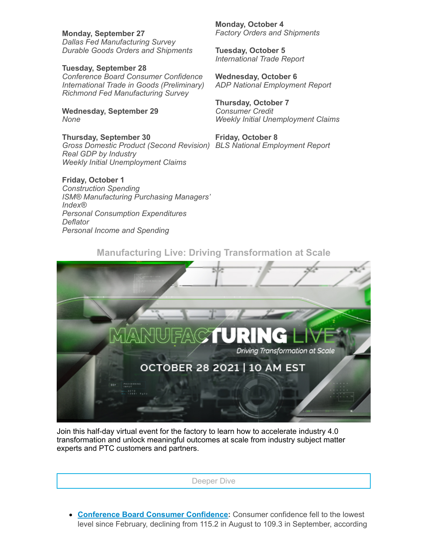#### **Monday, September 27**

*Dallas Fed Manufacturing Survey Durable Goods Orders and Shipments*

**Tuesday, September 28** *Conference Board Consumer Confidence International Trade in Goods (Preliminary) Richmond Fed Manufacturing Survey*

**Wednesday, September 29** *None*

## **Thursday, September 30**

*Real GDP by Industry Weekly Initial Unemployment Claims*

### **Friday, October 1**

*Construction Spending ISM® Manufacturing Purchasing Managers' Index® Personal Consumption Expenditures Deflator Personal Income and Spending*

**Monday, October 4** *Factory Orders and Shipments*

**Tuesday, October 5** *International Trade Report*

**Wednesday, October 6** *ADP National Employment Report*

**Thursday, October 7** *Consumer Credit Weekly Initial Unemployment Claims*

*Gross Domestic Product (Second Revision) BLS National Employment Report* **Friday, October 8**



Join this half-day virtual event for the factory to learn how to accelerate industry 4.0 transformation and unlock meaningful outcomes at scale from industry subject matter experts and PTC customers and partners.



**Conference Board Consumer [Confidence:](https://click.email.nam.org/?qs=39a84bb87e8c9ff28f7ada87d657ba5afa2cebd712b2bd44a74d7bce17cf874c10bf99b0b4ffdab75b1a964bff35c22f1104554328f49187)** Consumer confidence fell to the lowest level since February, declining from 115.2 in August to 109.3 in September, according

## **Manufacturing Live: Driving Transformation at Scale**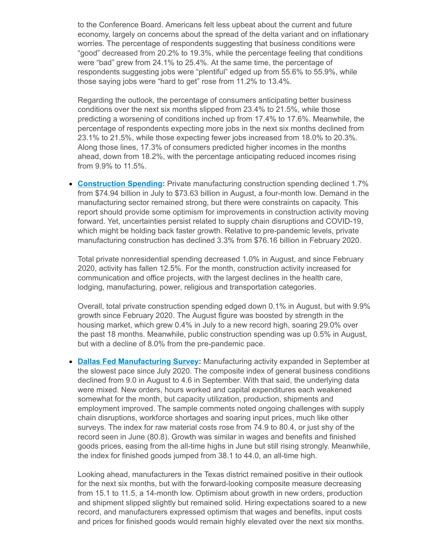to the Conference Board. Americans felt less upbeat about the current and future economy, largely on concerns about the spread of the delta variant and on inflationary worries. The percentage of respondents suggesting that business conditions were "good" decreased from 20.2% to 19.3%, while the percentage feeling that conditions were "bad" grew from 24.1% to 25.4%. At the same time, the percentage of respondents suggesting jobs were "plentiful" edged up from 55.6% to 55.9%, while those saying jobs were "hard to get" rose from 11.2% to 13.4%.

Regarding the outlook, the percentage of consumers anticipating better business conditions over the next six months slipped from 23.4% to 21.5%, while those predicting a worsening of conditions inched up from 17.4% to 17.6%. Meanwhile, the percentage of respondents expecting more jobs in the next six months declined from 23.1% to 21.5%, while those expecting fewer jobs increased from 18.0% to 20.3%. Along those lines, 17.3% of consumers predicted higher incomes in the months ahead, down from 18.2%, with the percentage anticipating reduced incomes rising from 9.9% to 11.5%.

**[Construction](https://click.email.nam.org/?qs=811714adb34a67dcc48943f4bc4bd6ac4fa02ce285a713aff3ea0c72d77f71f293d6de97c48ddbee1017a1db875961f2e3ecb7a098b0e87a) Spending:** Private manufacturing construction spending declined 1.7%  $\bullet$ from \$74.94 billion in July to \$73.63 billion in August, a four-month low. Demand in the manufacturing sector remained strong, but there were constraints on capacity. This report should provide some optimism for improvements in construction activity moving forward. Yet, uncertainties persist related to supply chain disruptions and COVID-19, which might be holding back faster growth. Relative to pre-pandemic levels, private manufacturing construction has declined 3.3% from \$76.16 billion in February 2020.

Total private nonresidential spending decreased 1.0% in August, and since February 2020, activity has fallen 12.5%. For the month, construction activity increased for communication and office projects, with the largest declines in the health care, lodging, manufacturing, power, religious and transportation categories.

Overall, total private construction spending edged down 0.1% in August, but with 9.9% growth since February 2020. The August figure was boosted by strength in the housing market, which grew 0.4% in July to a new record high, soaring 29.0% over the past 18 months. Meanwhile, public construction spending was up 0.5% in August, but with a decline of 8.0% from the pre-pandemic pace.

**Dallas Fed [Manufacturing](https://click.email.nam.org/?qs=39a84bb87e8c9ff20942383a200a7703987e1fb49f13605af9ba3d9d206a3551da71b0c6026ffebca2570f90191a1bad8644ba18a9e7608e) Survey:** Manufacturing activity expanded in September at the slowest pace since July 2020. The composite index of general business conditions declined from 9.0 in August to 4.6 in September. With that said, the underlying data were mixed. New orders, hours worked and capital expenditures each weakened somewhat for the month, but capacity utilization, production, shipments and employment improved. The sample comments noted ongoing challenges with supply chain disruptions, workforce shortages and soaring input prices, much like other surveys. The index for raw material costs rose from 74.9 to 80.4, or just shy of the record seen in June (80.8). Growth was similar in wages and benefits and finished goods prices, easing from the all-time highs in June but still rising strongly. Meanwhile, the index for finished goods jumped from 38.1 to 44.0, an all-time high.

Looking ahead, manufacturers in the Texas district remained positive in their outlook for the next six months, but with the forward-looking composite measure decreasing from 15.1 to 11.5, a 14-month low. Optimism about growth in new orders, production and shipment slipped slightly but remained solid. Hiring expectations soared to a new record, and manufacturers expressed optimism that wages and benefits, input costs and prices for finished goods would remain highly elevated over the next six months.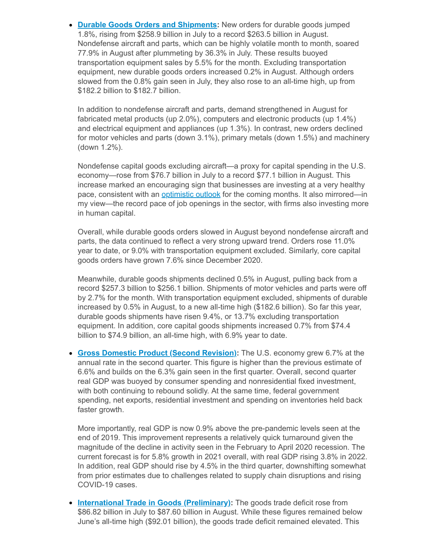**Durable Goods Orders and [Shipments](https://click.email.nam.org/?qs=811714adb34a67dc5dfde62bb08cd7c0646ac7e68fb62e85d506a7b73d74c56ee3b30ddc405fe0d2e551fc304c374479543b21f5f2356298):** New orders for durable goods jumped 1.8%, rising from \$258.9 billion in July to a record \$263.5 billion in August. Nondefense aircraft and parts, which can be highly volatile month to month, soared 77.9% in August after plummeting by 36.3% in July. These results buoyed transportation equipment sales by 5.5% for the month. Excluding transportation equipment, new durable goods orders increased 0.2% in August. Although orders slowed from the 0.8% gain seen in July, they also rose to an all-time high, up from \$182.2 billion to \$182.7 billion.

In addition to nondefense aircraft and parts, demand strengthened in August for fabricated metal products (up 2.0%), computers and electronic products (up 1.4%) and electrical equipment and appliances (up 1.3%). In contrast, new orders declined for motor vehicles and parts (down 3.1%), primary metals (down 1.5%) and machinery (down 1.2%).

Nondefense capital goods excluding aircraft—a proxy for capital spending in the U.S. economy—rose from \$76.7 billion in July to a record \$77.1 billion in August. This increase marked an encouraging sign that businesses are investing at a very healthy pace, consistent with an *[optimistic](https://click.email.nam.org/?qs=811714adb34a67dcd3bb2d68a5594b120e186864ef82408961a7608d163dc5cfeb1e1d71f9f807d7bd638e289b5b2a080d4bfa908648ad3f) outlook* for the coming months. It also mirrored—in my view—the record pace of job openings in the sector, with firms also investing more in human capital.

Overall, while durable goods orders slowed in August beyond nondefense aircraft and parts, the data continued to reflect a very strong upward trend. Orders rose 11.0% year to date, or 9.0% with transportation equipment excluded. Similarly, core capital goods orders have grown 7.6% since December 2020.

Meanwhile, durable goods shipments declined 0.5% in August, pulling back from a record \$257.3 billion to \$256.1 billion. Shipments of motor vehicles and parts were off by 2.7% for the month. With transportation equipment excluded, shipments of durable increased by 0.5% in August, to a new all-time high (\$182.6 billion). So far this year, durable goods shipments have risen 9.4%, or 13.7% excluding transportation equipment. In addition, core capital goods shipments increased 0.7% from \$74.4 billion to \$74.9 billion, an all-time high, with 6.9% year to date.

**Gross Domestic Product (Second [Revision\):](https://click.email.nam.org/?qs=cc59b567c6a5c2198768089343c719d2c3c8b08c58ef320a673e596cfa049a3b09ea5c49991fbf2a46c7a752a29fe9fc60e2edb0b8c3f6dd)** The U.S. economy grew 6.7% at the annual rate in the second quarter. This figure is higher than the previous estimate of 6.6% and builds on the 6.3% gain seen in the first quarter. Overall, second quarter real GDP was buoyed by consumer spending and nonresidential fixed investment, with both continuing to rebound solidly. At the same time, federal government spending, net exports, residential investment and spending on inventories held back faster growth.

More importantly, real GDP is now 0.9% above the pre-pandemic levels seen at the end of 2019. This improvement represents a relatively quick turnaround given the magnitude of the decline in activity seen in the February to April 2020 recession. The current forecast is for 5.8% growth in 2021 overall, with real GDP rising 3.8% in 2022. In addition, real GDP should rise by 4.5% in the third quarter, downshifting somewhat from prior estimates due to challenges related to supply chain disruptions and rising COVID-19 cases.

**International Trade in Goods [\(Preliminary\):](https://click.email.nam.org/?qs=39a84bb87e8c9ff2bf07508eeb33e7595cc9a8275194d29e555a5a493c1937de89e70fbc2f2b055e3e720ad1ab280ce6609b2a2d772409f8)** The goods trade deficit rose from \$86.82 billion in July to \$87.60 billion in August. While these figures remained below June's all-time high (\$92.01 billion), the goods trade deficit remained elevated. This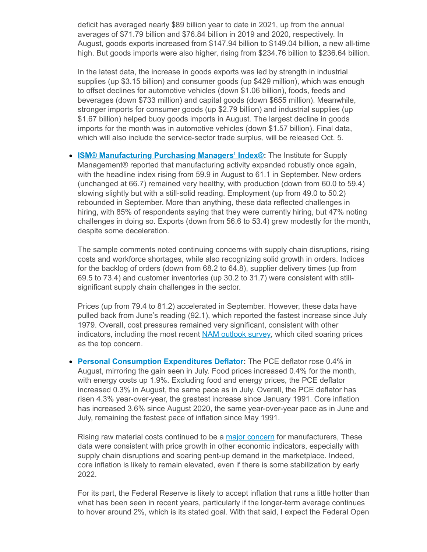deficit has averaged nearly \$89 billion year to date in 2021, up from the annual averages of \$71.79 billion and \$76.84 billion in 2019 and 2020, respectively. In August, goods exports increased from \$147.94 billion to \$149.04 billion, a new all-time high. But goods imports were also higher, rising from \$234.76 billion to \$236.64 billion.

In the latest data, the increase in goods exports was led by strength in industrial supplies (up \$3.15 billion) and consumer goods (up \$429 million), which was enough to offset declines for automotive vehicles (down \$1.06 billion), foods, feeds and beverages (down \$733 million) and capital goods (down \$655 million). Meanwhile, stronger imports for consumer goods (up \$2.79 billion) and industrial supplies (up \$1.67 billion) helped buoy goods imports in August. The largest decline in goods imports for the month was in automotive vehicles (down \$1.57 billion). Final data, which will also include the service-sector trade surplus, will be released Oct. 5.

**ISM® [Manufacturing](https://click.email.nam.org/?qs=cc59b567c6a5c2194c0086e4edb6b6c6cb79ae992451970c35085f802100dfe1f39aa502bb44d10527e08391cfbd64b7dd1f7e758cdb7411) Purchasing Managers' Index®:** The Institute for Supply Management® reported that manufacturing activity expanded robustly once again, with the headline index rising from 59.9 in August to 61.1 in September. New orders (unchanged at 66.7) remained very healthy, with production (down from 60.0 to 59.4) slowing slightly but with a still-solid reading. Employment (up from 49.0 to 50.2) rebounded in September. More than anything, these data reflected challenges in hiring, with 85% of respondents saying that they were currently hiring, but 47% noting challenges in doing so. Exports (down from 56.6 to 53.4) grew modestly for the month, despite some deceleration.

The sample comments noted continuing concerns with supply chain disruptions, rising costs and workforce shortages, while also recognizing solid growth in orders. Indices for the backlog of orders (down from 68.2 to 64.8), supplier delivery times (up from 69.5 to 73.4) and customer inventories (up 30.2 to 31.7) were consistent with stillsignificant supply chain challenges in the sector.

Prices (up from 79.4 to 81.2) accelerated in September. However, these data have pulled back from June's reading (92.1), which reported the fastest increase since July 1979. Overall, cost pressures remained very significant, consistent with other indicators, including the most recent NAM [outlook](https://click.email.nam.org/?qs=1a8ef7be447ab7123706e4ac0c827d3dd6e6bfd1e505447f122c2a5d832821f746420eea2bfa005a0a624d59a3ef2c26622cfc3a4dde6c70) survey, which cited soaring prices as the top concern.

**Personal [Consumption](https://click.email.nam.org/?qs=811714adb34a67dc3a12098f7a2815f5c03ad06e7e0ec88a7f0b4a8ae117fa8ff3086bdfa2212d49fd33ade1a853da1a35a6f735f7b22ad6) Expenditures Deflator:** The PCE deflator rose 0.4% in August, mirroring the gain seen in July. Food prices increased 0.4% for the month, with energy costs up 1.9%. Excluding food and energy prices, the PCE deflator increased 0.3% in August, the same pace as in July. Overall, the PCE deflator has risen 4.3% year-over-year, the greatest increase since January 1991. Core inflation has increased 3.6% since August 2020, the same year-over-year pace as in June and July, remaining the fastest pace of inflation since May 1991.

Rising raw material costs continued to be a major [concern](https://click.email.nam.org/?qs=811714adb34a67dcd3bb2d68a5594b120e186864ef82408961a7608d163dc5cfeb1e1d71f9f807d7bd638e289b5b2a080d4bfa908648ad3f) for manufacturers, These data were consistent with price growth in other economic indicators, especially with supply chain disruptions and soaring pent-up demand in the marketplace. Indeed, core inflation is likely to remain elevated, even if there is some stabilization by early 2022.

For its part, the Federal Reserve is likely to accept inflation that runs a little hotter than what has been seen in recent years, particularly if the longer-term average continues to hover around 2%, which is its stated goal. With that said, I expect the Federal Open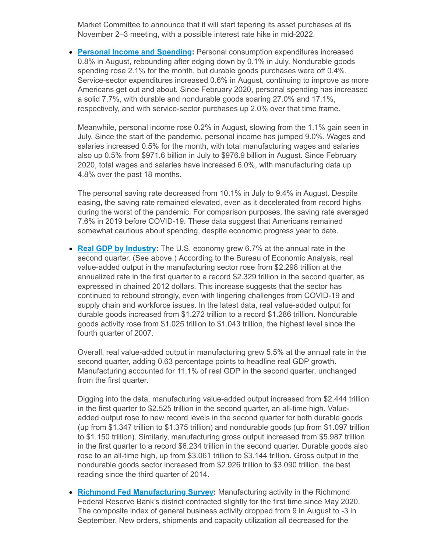Market Committee to announce that it will start tapering its asset purchases at its November 2–3 meeting, with a possible interest rate hike in mid-2022.

**Personal Income and [Spending](https://click.email.nam.org/?qs=811714adb34a67dc3a12098f7a2815f5c03ad06e7e0ec88a7f0b4a8ae117fa8ff3086bdfa2212d49fd33ade1a853da1a35a6f735f7b22ad6):** Personal consumption expenditures increased 0.8% in August, rebounding after edging down by 0.1% in July. Nondurable goods spending rose 2.1% for the month, but durable goods purchases were off 0.4%. Service-sector expenditures increased 0.6% in August, continuing to improve as more Americans get out and about. Since February 2020, personal spending has increased a solid 7.7%, with durable and nondurable goods soaring 27.0% and 17.1%, respectively, and with service-sector purchases up 2.0% over that time frame.

Meanwhile, personal income rose 0.2% in August, slowing from the 1.1% gain seen in July. Since the start of the pandemic, personal income has jumped 9.0%. Wages and salaries increased 0.5% for the month, with total manufacturing wages and salaries also up 0.5% from \$971.6 billion in July to \$976.9 billion in August. Since February 2020, total wages and salaries have increased 6.0%, with manufacturing data up 4.8% over the past 18 months.

The personal saving rate decreased from 10.1% in July to 9.4% in August. Despite easing, the saving rate remained elevated, even as it decelerated from record highs during the worst of the pandemic. For comparison purposes, the saving rate averaged 7.6% in 2019 before COVID-19. These data suggest that Americans remained somewhat cautious about spending, despite economic progress year to date.

**Real GDP by [Industry:](https://click.email.nam.org/?qs=cc59b567c6a5c2198768089343c719d2c3c8b08c58ef320a673e596cfa049a3b09ea5c49991fbf2a46c7a752a29fe9fc60e2edb0b8c3f6dd)** The U.S. economy grew 6.7% at the annual rate in the second quarter. (See above.) According to the Bureau of Economic Analysis, real value-added output in the manufacturing sector rose from \$2.298 trillion at the annualized rate in the first quarter to a record \$2.329 trillion in the second quarter, as expressed in chained 2012 dollars. This increase suggests that the sector has continued to rebound strongly, even with lingering challenges from COVID-19 and supply chain and workforce issues. In the latest data, real value-added output for durable goods increased from \$1.272 trillion to a record \$1.286 trillion. Nondurable goods activity rose from \$1.025 trillion to \$1.043 trillion, the highest level since the fourth quarter of 2007.

Overall, real value-added output in manufacturing grew 5.5% at the annual rate in the second quarter, adding 0.63 percentage points to headline real GDP growth. Manufacturing accounted for 11.1% of real GDP in the second quarter, unchanged from the first quarter.

Digging into the data, manufacturing value-added output increased from \$2.444 trillion in the first quarter to \$2.525 trillion in the second quarter, an all-time high. Valueadded output rose to new record levels in the second quarter for both durable goods (up from \$1.347 trillion to \$1.375 trillion) and nondurable goods (up from \$1.097 trillion to \$1.150 trillion). Similarly, manufacturing gross output increased from \$5.987 trillion in the first quarter to a record \$6.234 trillion in the second quarter. Durable goods also rose to an all-time high, up from \$3.061 trillion to \$3.144 trillion. Gross output in the nondurable goods sector increased from \$2.926 trillion to \$3.090 trillion, the best reading since the third quarter of 2014.

**Richmond Fed [Manufacturing](https://click.email.nam.org/?qs=1a8ef7be447ab7120232d8017a4ca1bf591d72f466a2cf1d24c7b55fff9b3b7c3ee41cf55b551840e3d901a76ca79b7f0531e400d4941678) Survey:** Manufacturing activity in the Richmond Federal Reserve Bank's district contracted slightly for the first time since May 2020. The composite index of general business activity dropped from 9 in August to -3 in September. New orders, shipments and capacity utilization all decreased for the